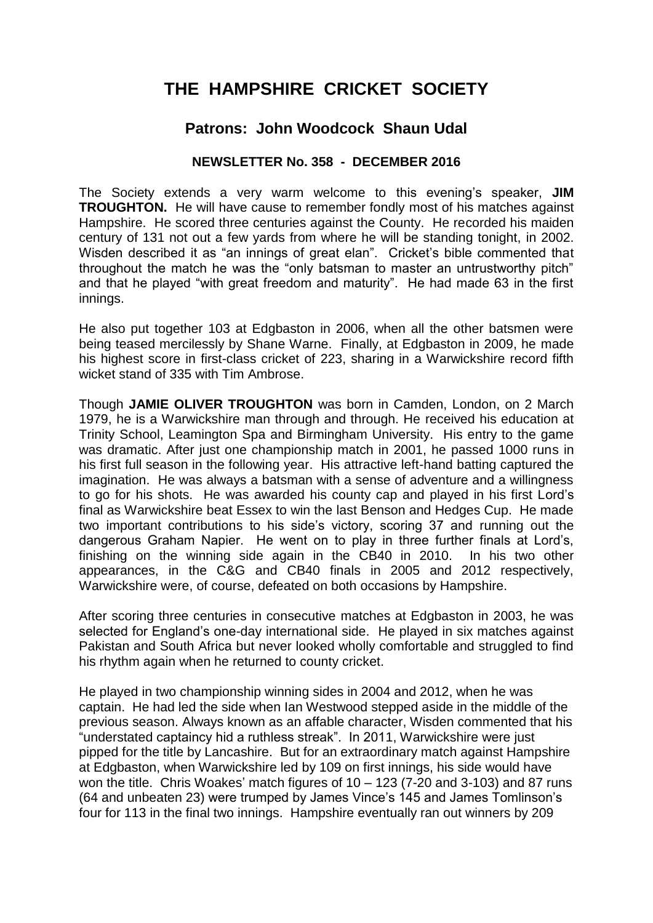# **THE HAMPSHIRE CRICKET SOCIETY**

# **Patrons: John Woodcock Shaun Udal**

# **NEWSLETTER No. 358 - DECEMBER 2016**

The Society extends a very warm welcome to this evening's speaker, **JIM TROUGHTON.** He will have cause to remember fondly most of his matches against Hampshire. He scored three centuries against the County. He recorded his maiden century of 131 not out a few yards from where he will be standing tonight, in 2002. Wisden described it as "an innings of great elan". Cricket's bible commented that throughout the match he was the "only batsman to master an untrustworthy pitch" and that he played "with great freedom and maturity". He had made 63 in the first innings.

He also put together 103 at Edgbaston in 2006, when all the other batsmen were being teased mercilessly by Shane Warne. Finally, at Edgbaston in 2009, he made his highest score in first-class cricket of 223, sharing in a Warwickshire record fifth wicket stand of 335 with Tim Ambrose.

Though **JAMIE OLIVER TROUGHTON** was born in Camden, London, on 2 March 1979, he is a Warwickshire man through and through. He received his education at Trinity School, Leamington Spa and Birmingham University. His entry to the game was dramatic. After just one championship match in 2001, he passed 1000 runs in his first full season in the following year. His attractive left-hand batting captured the imagination. He was always a batsman with a sense of adventure and a willingness to go for his shots. He was awarded his county cap and played in his first Lord's final as Warwickshire beat Essex to win the last Benson and Hedges Cup. He made two important contributions to his side's victory, scoring 37 and running out the dangerous Graham Napier. He went on to play in three further finals at Lord's, finishing on the winning side again in the CB40 in 2010. In his two other appearances, in the C&G and CB40 finals in 2005 and 2012 respectively, Warwickshire were, of course, defeated on both occasions by Hampshire.

After scoring three centuries in consecutive matches at Edgbaston in 2003, he was selected for England's one-day international side. He played in six matches against Pakistan and South Africa but never looked wholly comfortable and struggled to find his rhythm again when he returned to county cricket.

He played in two championship winning sides in 2004 and 2012, when he was captain. He had led the side when Ian Westwood stepped aside in the middle of the previous season. Always known as an affable character, Wisden commented that his "understated captaincy hid a ruthless streak". In 2011, Warwickshire were just pipped for the title by Lancashire. But for an extraordinary match against Hampshire at Edgbaston, when Warwickshire led by 109 on first innings, his side would have won the title. Chris Woakes' match figures of  $10 - 123$  (7-20 and 3-103) and 87 runs (64 and unbeaten 23) were trumped by James Vince's 145 and James Tomlinson's four for 113 in the final two innings. Hampshire eventually ran out winners by 209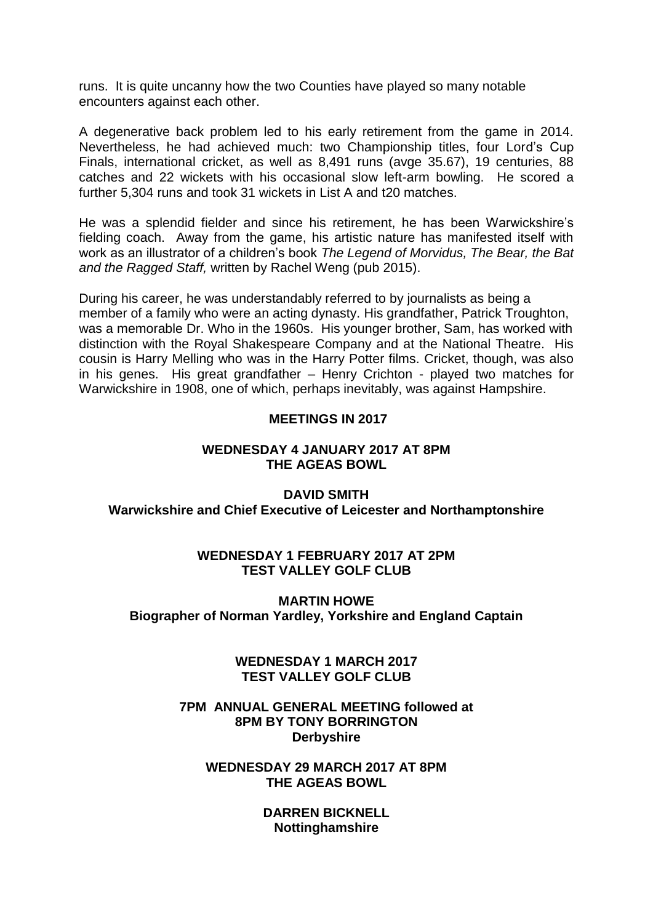runs. It is quite uncanny how the two Counties have played so many notable encounters against each other.

A degenerative back problem led to his early retirement from the game in 2014. Nevertheless, he had achieved much: two Championship titles, four Lord's Cup Finals, international cricket, as well as 8,491 runs (avge 35.67), 19 centuries, 88 catches and 22 wickets with his occasional slow left-arm bowling. He scored a further 5,304 runs and took 31 wickets in List A and t20 matches.

He was a splendid fielder and since his retirement, he has been Warwickshire's fielding coach. Away from the game, his artistic nature has manifested itself with work as an illustrator of a children's book *The Legend of Morvidus, The Bear, the Bat and the Ragged Staff,* written by Rachel Weng (pub 2015).

During his career, he was understandably referred to by journalists as being a member of a family who were an acting dynasty. His grandfather, Patrick Troughton, was a memorable Dr. Who in the 1960s. His younger brother, Sam, has worked with distinction with the Royal Shakespeare Company and at the National Theatre. His cousin is Harry Melling who was in the Harry Potter films. Cricket, though, was also in his genes. His great grandfather – Henry Crichton - played two matches for Warwickshire in 1908, one of which, perhaps inevitably, was against Hampshire.

# **MEETINGS IN 2017**

#### **WEDNESDAY 4 JANUARY 2017 AT 8PM THE AGEAS BOWL**

**DAVID SMITH Warwickshire and Chief Executive of Leicester and Northamptonshire**

# **WEDNESDAY 1 FEBRUARY 2017 AT 2PM TEST VALLEY GOLF CLUB**

# **MARTIN HOWE Biographer of Norman Yardley, Yorkshire and England Captain**

**WEDNESDAY 1 MARCH 2017 TEST VALLEY GOLF CLUB**

#### **7PM ANNUAL GENERAL MEETING followed at 8PM BY TONY BORRINGTON Derbyshire**

#### **WEDNESDAY 29 MARCH 2017 AT 8PM THE AGEAS BOWL**

**DARREN BICKNELL Nottinghamshire**